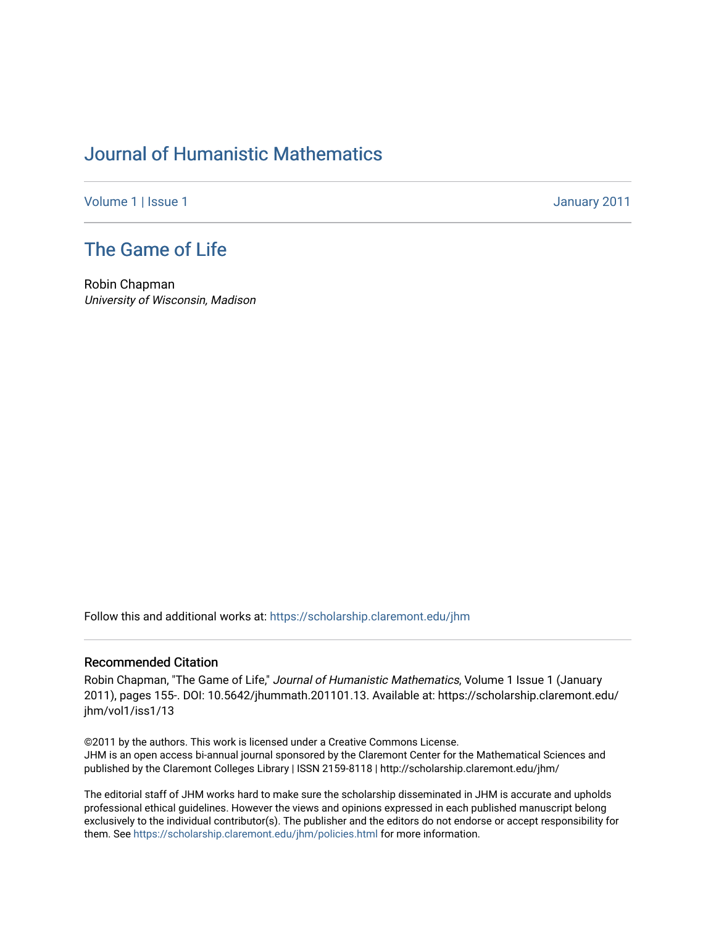## [Journal of Humanistic Mathematics](https://scholarship.claremont.edu/jhm)

[Volume 1](https://scholarship.claremont.edu/jhm/vol1) | [Issue 1](https://scholarship.claremont.edu/jhm/vol1/iss1) January 2011

## [The Game of Life](https://scholarship.claremont.edu/jhm/vol1/iss1/13)

Robin Chapman University of Wisconsin, Madison

Follow this and additional works at: [https://scholarship.claremont.edu/jhm](https://scholarship.claremont.edu/jhm?utm_source=scholarship.claremont.edu%2Fjhm%2Fvol1%2Fiss1%2F13&utm_medium=PDF&utm_campaign=PDFCoverPages)

## Recommended Citation

Robin Chapman, "The Game of Life," Journal of Humanistic Mathematics, Volume 1 Issue 1 (January 2011), pages 155-. DOI: 10.5642/jhummath.201101.13. Available at: https://scholarship.claremont.edu/ jhm/vol1/iss1/13

©2011 by the authors. This work is licensed under a Creative Commons License. JHM is an open access bi-annual journal sponsored by the Claremont Center for the Mathematical Sciences and published by the Claremont Colleges Library | ISSN 2159-8118 | http://scholarship.claremont.edu/jhm/

The editorial staff of JHM works hard to make sure the scholarship disseminated in JHM is accurate and upholds professional ethical guidelines. However the views and opinions expressed in each published manuscript belong exclusively to the individual contributor(s). The publisher and the editors do not endorse or accept responsibility for them. See<https://scholarship.claremont.edu/jhm/policies.html> for more information.